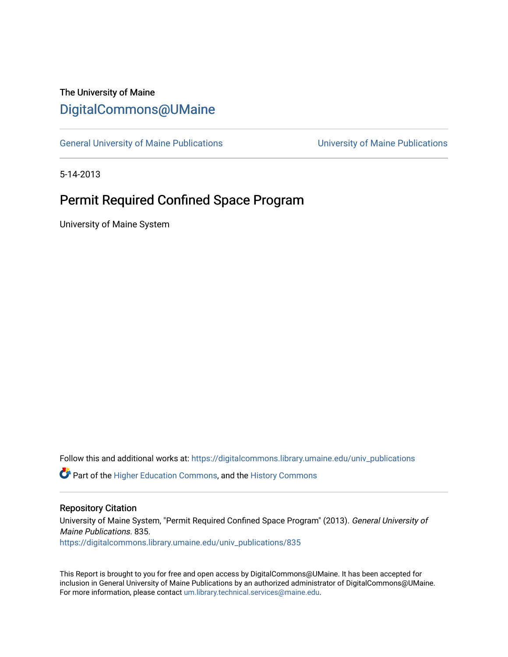# The University of Maine [DigitalCommons@UMaine](https://digitalcommons.library.umaine.edu/)

[General University of Maine Publications](https://digitalcommons.library.umaine.edu/univ_publications) [University of Maine Publications](https://digitalcommons.library.umaine.edu/umaine_publications) 

5-14-2013

# Permit Required Confined Space Program

University of Maine System

Follow this and additional works at: [https://digitalcommons.library.umaine.edu/univ\\_publications](https://digitalcommons.library.umaine.edu/univ_publications?utm_source=digitalcommons.library.umaine.edu%2Funiv_publications%2F835&utm_medium=PDF&utm_campaign=PDFCoverPages) 

**C** Part of the [Higher Education Commons,](http://network.bepress.com/hgg/discipline/1245?utm_source=digitalcommons.library.umaine.edu%2Funiv_publications%2F835&utm_medium=PDF&utm_campaign=PDFCoverPages) and the [History Commons](http://network.bepress.com/hgg/discipline/489?utm_source=digitalcommons.library.umaine.edu%2Funiv_publications%2F835&utm_medium=PDF&utm_campaign=PDFCoverPages)

#### Repository Citation

University of Maine System, "Permit Required Confined Space Program" (2013). General University of Maine Publications. 835. [https://digitalcommons.library.umaine.edu/univ\\_publications/835](https://digitalcommons.library.umaine.edu/univ_publications/835?utm_source=digitalcommons.library.umaine.edu%2Funiv_publications%2F835&utm_medium=PDF&utm_campaign=PDFCoverPages) 

This Report is brought to you for free and open access by DigitalCommons@UMaine. It has been accepted for inclusion in General University of Maine Publications by an authorized administrator of DigitalCommons@UMaine. For more information, please contact [um.library.technical.services@maine.edu](mailto:um.library.technical.services@maine.edu).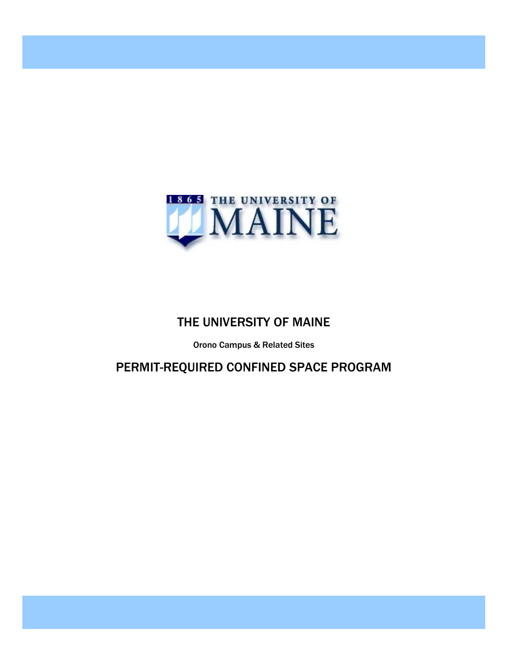

# THE UNIVERSITY OF MAINE

Orono Campus & Related Sites

PERMIT-REQUIRED CONFINED SPACE PROGRAM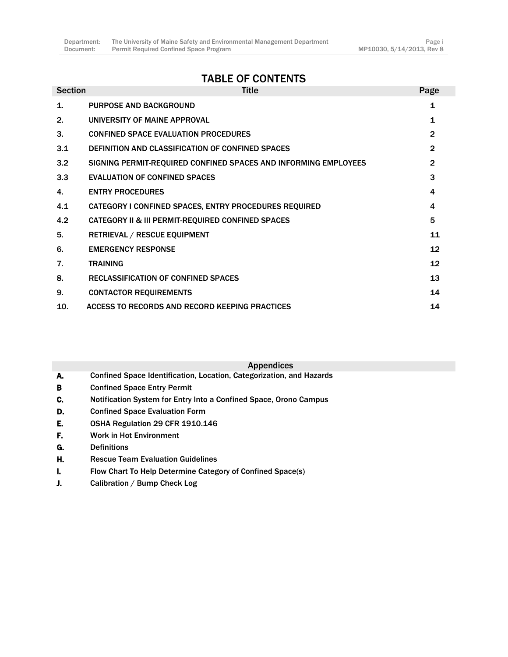# TABLE OF CONTENTS

| <b>Section</b> | <b>Title</b>                                                    | Page           |
|----------------|-----------------------------------------------------------------|----------------|
| 1.             | <b>PURPOSE AND BACKGROUND</b>                                   | $\mathbf{1}$   |
| 2.             | UNIVERSITY OF MAINE APPROVAL                                    | 1              |
| 3.             | <b>CONFINED SPACE EVALUATION PROCEDURES</b>                     | $\mathfrak{p}$ |
| 3.1            | DEFINITION AND CLASSIFICATION OF CONFINED SPACES                | $\mathfrak{p}$ |
| 3.2            | SIGNING PERMIT-REQUIRED CONFINED SPACES AND INFORMING EMPLOYEES | $\mathfrak{p}$ |
| 3.3            | <b>EVALUATION OF CONFINED SPACES</b>                            | 3              |
| 4.             | <b>ENTRY PROCEDURES</b>                                         | 4              |
| 4.1            | CATEGORY I CONFINED SPACES, ENTRY PROCEDURES REQUIRED           | 4              |
| 4.2            | CATEGORY II & III PERMIT-REQUIRED CONFINED SPACES               | 5              |
| 5.             | RETRIEVAL / RESCUE EQUIPMENT                                    | 11             |
| 6.             | <b>EMERGENCY RESPONSE</b>                                       | 12             |
| 7.             | <b>TRAINING</b>                                                 | 12             |
| 8.             | <b>RECLASSIFICATION OF CONFINED SPACES</b>                      | 13             |
| 9.             | <b>CONTACTOR REQUIREMENTS</b>                                   | 14             |
| 10.            | ACCESS TO RECORDS AND RECORD KEEPING PRACTICES                  | 14             |

#### Appendices

- A. Confined Space Identification, Location, Categorization, and Hazards
- B Confined Space Entry Permit
- C. Notification System for Entry Into a Confined Space, Orono Campus
- D. Confined Space Evaluation Form
- E. OSHA Regulation 29 CFR 1910.146
- F. Work in Hot Environment
- G. Definitions
- H. Rescue Team Evaluation Guidelines
- I. Flow Chart To Help Determine Category of Confined Space(s)
- J. Calibration / Bump Check Log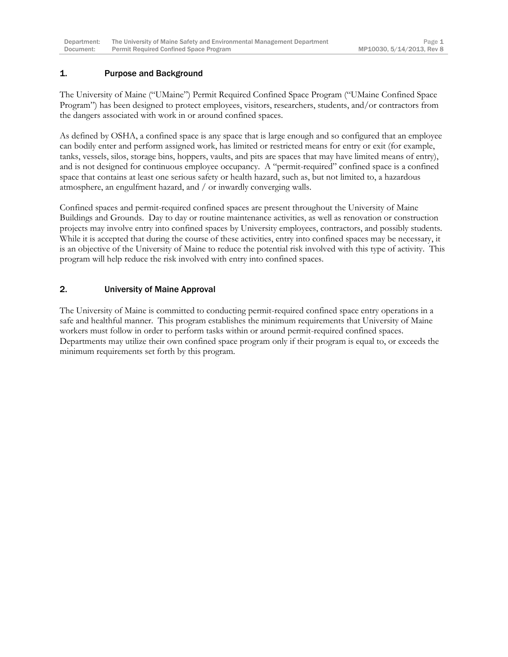### <span id="page-3-0"></span>1. Purpose and Background

The University of Maine ("UMaine") Permit Required Confined Space Program ("UMaine Confined Space Program") has been designed to protect employees, visitors, researchers, students, and/or contractors from the dangers associated with work in or around confined spaces.

As defined by OSHA, a confined space is any space that is large enough and so configured that an employee can bodily enter and perform assigned work, has limited or restricted means for entry or exit (for example, tanks, vessels, silos, storage bins, hoppers, vaults, and pits are spaces that may have limited means of entry), and is not designed for continuous employee occupancy. A "permit-required" confined space is a confined space that contains at least one serious safety or health hazard, such as, but not limited to, a hazardous atmosphere, an engulfment hazard, and / or inwardly converging walls.

Confined spaces and permit-required confined spaces are present throughout the University of Maine Buildings and Grounds. Day to day or routine maintenance activities, as well as renovation or construction projects may involve entry into confined spaces by University employees, contractors, and possibly students. While it is accepted that during the course of these activities, entry into confined spaces may be necessary, it is an objective of the University of Maine to reduce the potential risk involved with this type of activity. This program will help reduce the risk involved with entry into confined spaces.

#### <span id="page-3-1"></span>2. University of Maine Approval

The University of Maine is committed to conducting permit-required confined space entry operations in a safe and healthful manner. This program establishes the minimum requirements that University of Maine workers must follow in order to perform tasks within or around permit-required confined spaces. Departments may utilize their own confined space program only if their program is equal to, or exceeds the minimum requirements set forth by this program.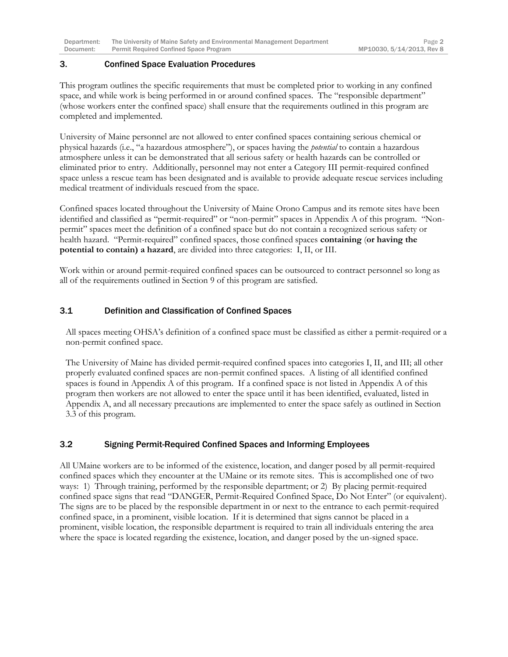#### <span id="page-4-0"></span>3. Confined Space Evaluation Procedures

This program outlines the specific requirements that must be completed prior to working in any confined space, and while work is being performed in or around confined spaces. The "responsible department" (whose workers enter the confined space) shall ensure that the requirements outlined in this program are completed and implemented.

University of Maine personnel are not allowed to enter confined spaces containing serious chemical or physical hazards (i.e., "a hazardous atmosphere"), or spaces having the *potential* to contain a hazardous atmosphere unless it can be demonstrated that all serious safety or health hazards can be controlled or eliminated prior to entry. Additionally, personnel may not enter a Category III permit-required confined space unless a rescue team has been designated and is available to provide adequate rescue services including medical treatment of individuals rescued from the space.

Confined spaces located throughout the University of Maine Orono Campus and its remote sites have been identified and classified as "permit-required" or "non-permit" spaces in Appendix A of this program. "Nonpermit" spaces meet the definition of a confined space but do not contain a recognized serious safety or health hazard. "Permit-required" confined spaces, those confined spaces **containing** (**or having the potential to contain) a hazard**, are divided into three categories: I, II, or III.

Work within or around permit-required confined spaces can be outsourced to contract personnel so long as all of the requirements outlined in Section 9 of this program are satisfied.

## <span id="page-4-1"></span>3.1 Definition and Classification of Confined Spaces

All spaces meeting OHSA's definition of a confined space must be classified as either a permit-required or a non-permit confined space.

The University of Maine has divided permit-required confined spaces into categories I, II, and III; all other properly evaluated confined spaces are non-permit confined spaces. A listing of all identified confined spaces is found in Appendix A of this program. If a confined space is not listed in Appendix A of this program then workers are not allowed to enter the space until it has been identified, evaluated, listed in Appendix A, and all necessary precautions are implemented to enter the space safely as outlined in Section 3.3 of this program.

## <span id="page-4-2"></span>3.2 Signing Permit-Required Confined Spaces and Informing Employees

All UMaine workers are to be informed of the existence, location, and danger posed by all permit-required confined spaces which they encounter at the UMaine or its remote sites. This is accomplished one of two ways: 1) Through training, performed by the responsible department; or 2) By placing permit-required confined space signs that read "DANGER, Permit-Required Confined Space, Do Not Enter" (or equivalent). The signs are to be placed by the responsible department in or next to the entrance to each permit-required confined space, in a prominent, visible location. If it is determined that signs cannot be placed in a prominent, visible location, the responsible department is required to train all individuals entering the area where the space is located regarding the existence, location, and danger posed by the un-signed space.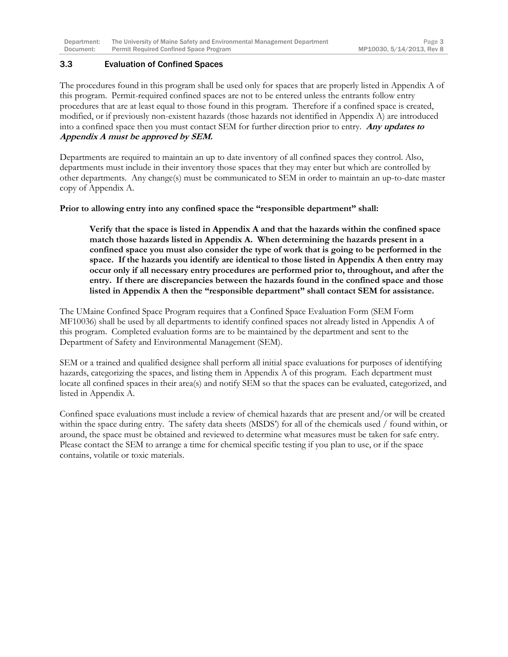### <span id="page-5-0"></span>3.3 Evaluation of Confined Spaces

The procedures found in this program shall be used only for spaces that are properly listed in Appendix A of this program. Permit-required confined spaces are not to be entered unless the entrants follow entry procedures that are at least equal to those found in this program. Therefore if a confined space is created, modified, or if previously non-existent hazards (those hazards not identified in Appendix A) are introduced into a confined space then you must contact SEM for further direction prior to entry. **Any updates to Appendix A must be approved by SEM.**

Departments are required to maintain an up to date inventory of all confined spaces they control. Also, departments must include in their inventory those spaces that they may enter but which are controlled by other departments. Any change(s) must be communicated to SEM in order to maintain an up-to-date master copy of Appendix A.

**Prior to allowing entry into any confined space the "responsible department" shall:**

**Verify that the space is listed in Appendix A and that the hazards within the confined space match those hazards listed in Appendix A. When determining the hazards present in a confined space you must also consider the type of work that is going to be performed in the space. If the hazards you identify are identical to those listed in Appendix A then entry may occur only if all necessary entry procedures are performed prior to, throughout, and after the entry. If there are discrepancies between the hazards found in the confined space and those listed in Appendix A then the "responsible department" shall contact SEM for assistance.** 

The UMaine Confined Space Program requires that a Confined Space Evaluation Form (SEM Form MF10036) shall be used by all departments to identify confined spaces not already listed in Appendix A of this program. Completed evaluation forms are to be maintained by the department and sent to the Department of Safety and Environmental Management (SEM).

SEM or a trained and qualified designee shall perform all initial space evaluations for purposes of identifying hazards, categorizing the spaces, and listing them in Appendix A of this program. Each department must locate all confined spaces in their area(s) and notify SEM so that the spaces can be evaluated, categorized, and listed in Appendix A.

Confined space evaluations must include a review of chemical hazards that are present and/or will be created within the space during entry. The safety data sheets (MSDS') for all of the chemicals used / found within, or around, the space must be obtained and reviewed to determine what measures must be taken for safe entry. Please contact the SEM to arrange a time for chemical specific testing if you plan to use, or if the space contains, volatile or toxic materials.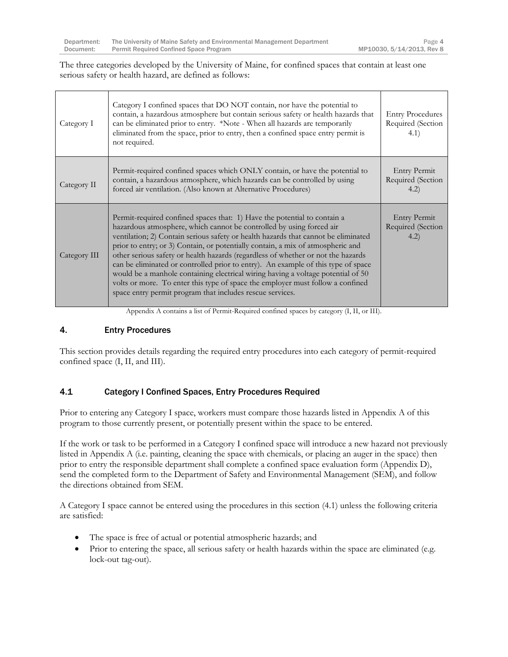The three categories developed by the University of Maine, for confined spaces that contain at least one serious safety or health hazard, are defined as follows:

| Category I   | Category I confined spaces that DO NOT contain, nor have the potential to<br>contain, a hazardous atmosphere but contain serious safety or health hazards that<br>can be eliminated prior to entry. *Note - When all hazards are temporarily<br>eliminated from the space, prior to entry, then a confined space entry permit is<br>not required.                                                                                                                                                                                                                                                                                                                                                                                     | <b>Entry Procedures</b><br>Required (Section<br>4.1) |
|--------------|---------------------------------------------------------------------------------------------------------------------------------------------------------------------------------------------------------------------------------------------------------------------------------------------------------------------------------------------------------------------------------------------------------------------------------------------------------------------------------------------------------------------------------------------------------------------------------------------------------------------------------------------------------------------------------------------------------------------------------------|------------------------------------------------------|
| Category II  | Permit-required confined spaces which ONLY contain, or have the potential to<br>contain, a hazardous atmosphere, which hazards can be controlled by using<br>forced air ventilation. (Also known at Alternative Procedures)                                                                                                                                                                                                                                                                                                                                                                                                                                                                                                           | Entry Permit<br>Required (Section<br>(4.2)           |
| Category III | Permit-required confined spaces that: 1) Have the potential to contain a<br>hazardous atmosphere, which cannot be controlled by using forced air<br>ventilation; 2) Contain serious safety or health hazards that cannot be eliminated<br>prior to entry; or 3) Contain, or potentially contain, a mix of atmospheric and<br>other serious safety or health hazards (regardless of whether or not the hazards<br>can be eliminated or controlled prior to entry). An example of this type of space<br>would be a manhole containing electrical wiring having a voltage potential of 50<br>volts or more. To enter this type of space the employer must follow a confined<br>space entry permit program that includes rescue services. | <b>Entry Permit</b><br>Required (Section<br>(4.2)    |

Appendix A contains a list of Permit-Required confined spaces by category (I, II, or III).

#### <span id="page-6-0"></span>4. Entry Procedures

This section provides details regarding the required entry procedures into each category of permit-required confined space (I, II, and III).

#### <span id="page-6-1"></span>4.1 Category I Confined Spaces, Entry Procedures Required

Prior to entering any Category I space, workers must compare those hazards listed in Appendix A of this program to those currently present, or potentially present within the space to be entered.

If the work or task to be performed in a Category I confined space will introduce a new hazard not previously listed in Appendix A (i.e. painting, cleaning the space with chemicals, or placing an auger in the space) then prior to entry the responsible department shall complete a confined space evaluation form (Appendix D), send the completed form to the Department of Safety and Environmental Management (SEM), and follow the directions obtained from SEM.

A Category I space cannot be entered using the procedures in this section (4.1) unless the following criteria are satisfied:

- The space is free of actual or potential atmospheric hazards; and
- Prior to entering the space, all serious safety or health hazards within the space are eliminated (e.g. lock-out tag-out).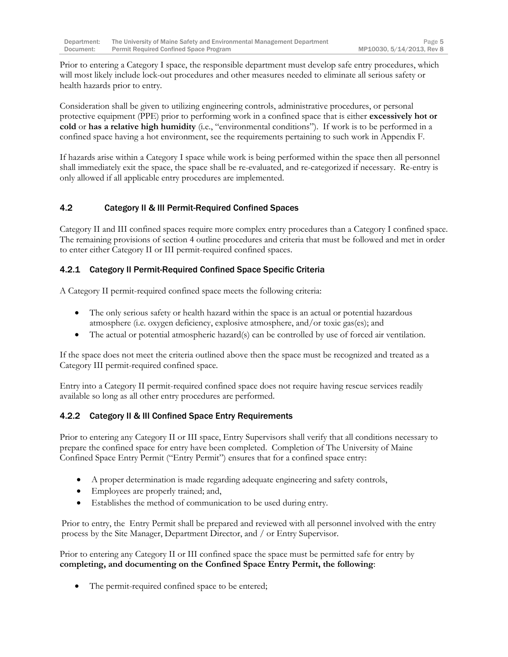Prior to entering a Category I space, the responsible department must develop safe entry procedures, which will most likely include lock-out procedures and other measures needed to eliminate all serious safety or health hazards prior to entry.

Consideration shall be given to utilizing engineering controls, administrative procedures, or personal protective equipment (PPE) prior to performing work in a confined space that is either **excessively hot or cold** or **has a relative high humidity** (i.e., "environmental conditions"). If work is to be performed in a confined space having a hot environment, see the requirements pertaining to such work in Appendix F.

If hazards arise within a Category I space while work is being performed within the space then all personnel shall immediately exit the space, the space shall be re-evaluated, and re-categorized if necessary. Re-entry is only allowed if all applicable entry procedures are implemented.

# <span id="page-7-0"></span>4.2 Category II & III Permit-Required Confined Spaces

Category II and III confined spaces require more complex entry procedures than a Category I confined space. The remaining provisions of section 4 outline procedures and criteria that must be followed and met in order to enter either Category II or III permit-required confined spaces.

## 4.2.1 Category II Permit-Required Confined Space Specific Criteria

A Category II permit-required confined space meets the following criteria:

- The only serious safety or health hazard within the space is an actual or potential hazardous atmosphere (i.e. oxygen deficiency, explosive atmosphere, and/or toxic gas(es); and
- The actual or potential atmospheric hazard(s) can be controlled by use of forced air ventilation.

If the space does not meet the criteria outlined above then the space must be recognized and treated as a Category III permit-required confined space.

Entry into a Category II permit-required confined space does not require having rescue services readily available so long as all other entry procedures are performed.

## 4.2.2 Category II & III Confined Space Entry Requirements

Prior to entering any Category II or III space, Entry Supervisors shall verify that all conditions necessary to prepare the confined space for entry have been completed. Completion of The University of Maine Confined Space Entry Permit ("Entry Permit") ensures that for a confined space entry:

- A proper determination is made regarding adequate engineering and safety controls,
- Employees are properly trained; and,
- Establishes the method of communication to be used during entry.

Prior to entry, the Entry Permit shall be prepared and reviewed with all personnel involved with the entry process by the Site Manager, Department Director, and / or Entry Supervisor.

Prior to entering any Category II or III confined space the space must be permitted safe for entry by **completing, and documenting on the Confined Space Entry Permit, the following**:

The permit-required confined space to be entered;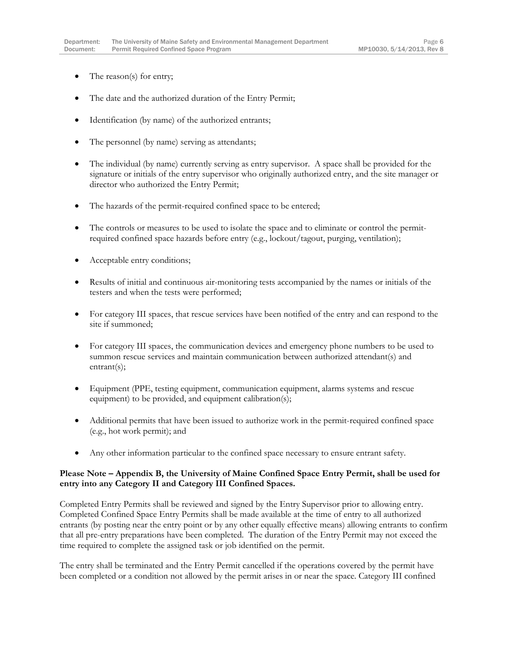- The reason(s) for entry;
- The date and the authorized duration of the Entry Permit;
- Identification (by name) of the authorized entrants;
- The personnel (by name) serving as attendants;
- The individual (by name) currently serving as entry supervisor. A space shall be provided for the signature or initials of the entry supervisor who originally authorized entry, and the site manager or director who authorized the Entry Permit;
- The hazards of the permit-required confined space to be entered;
- The controls or measures to be used to isolate the space and to eliminate or control the permitrequired confined space hazards before entry (e.g., lockout/tagout, purging, ventilation);
- Acceptable entry conditions;
- Results of initial and continuous air-monitoring tests accompanied by the names or initials of the testers and when the tests were performed;
- For category III spaces, that rescue services have been notified of the entry and can respond to the site if summoned;
- For category III spaces, the communication devices and emergency phone numbers to be used to summon rescue services and maintain communication between authorized attendant(s) and entrant(s);
- Equipment (PPE, testing equipment, communication equipment, alarms systems and rescue equipment) to be provided, and equipment calibration(s);
- Additional permits that have been issued to authorize work in the permit-required confined space (e.g., hot work permit); and
- Any other information particular to the confined space necessary to ensure entrant safety.

#### **Please Note – Appendix B, the University of Maine Confined Space Entry Permit, shall be used for entry into any Category II and Category III Confined Spaces.**

Completed Entry Permits shall be reviewed and signed by the Entry Supervisor prior to allowing entry. Completed Confined Space Entry Permits shall be made available at the time of entry to all authorized entrants (by posting near the entry point or by any other equally effective means) allowing entrants to confirm that all pre-entry preparations have been completed. The duration of the Entry Permit may not exceed the time required to complete the assigned task or job identified on the permit.

The entry shall be terminated and the Entry Permit cancelled if the operations covered by the permit have been completed or a condition not allowed by the permit arises in or near the space. Category III confined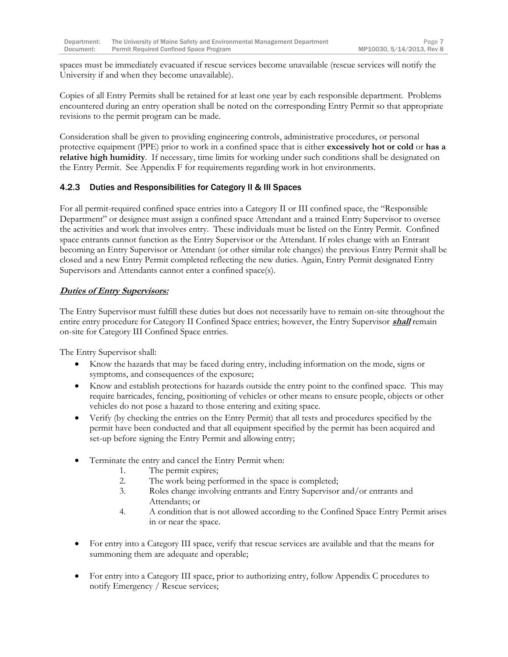spaces must be immediately evacuated if rescue services become unavailable (rescue services will notify the University if and when they become unavailable).

Copies of all Entry Permits shall be retained for at least one year by each responsible department. Problems encountered during an entry operation shall be noted on the corresponding Entry Permit so that appropriate revisions to the permit program can be made.

Consideration shall be given to providing engineering controls, administrative procedures, or personal protective equipment (PPE) prior to work in a confined space that is either **excessively hot or cold** or **has a relative high humidity**. If necessary, time limits for working under such conditions shall be designated on the Entry Permit. See Appendix F for requirements regarding work in hot environments.

# 4.2.3 Duties and Responsibilities for Category II & III Spaces

For all permit-required confined space entries into a Category II or III confined space, the "Responsible Department" or designee must assign a confined space Attendant and a trained Entry Supervisor to oversee the activities and work that involves entry. These individuals must be listed on the Entry Permit. Confined space entrants cannot function as the Entry Supervisor or the Attendant. If roles change with an Entrant becoming an Entry Supervisor or Attendant (or other similar role changes) the previous Entry Permit shall be closed and a new Entry Permit completed reflecting the new duties. Again, Entry Permit designated Entry Supervisors and Attendants cannot enter a confined space(s).

### **Duties of Entry Supervisors:**

The Entry Supervisor must fulfill these duties but does not necessarily have to remain on-site throughout the entire entry procedure for Category II Confined Space entries; however, the Entry Supervisor **shall** remain on-site for Category III Confined Space entries.

The Entry Supervisor shall:

- Know the hazards that may be faced during entry, including information on the mode, signs or symptoms, and consequences of the exposure;
- Know and establish protections for hazards outside the entry point to the confined space. This may require barricades, fencing, positioning of vehicles or other means to ensure people, objects or other vehicles do not pose a hazard to those entering and exiting space.
- Verify (by checking the entries on the Entry Permit) that all tests and procedures specified by the permit have been conducted and that all equipment specified by the permit has been acquired and set-up before signing the Entry Permit and allowing entry;
- Terminate the entry and cancel the Entry Permit when:
	- 1. The permit expires;
	- 2. The work being performed in the space is completed;
	- 3. Roles change involving entrants and Entry Supervisor and/or entrants and Attendants; or
	- 4. A condition that is not allowed according to the Confined Space Entry Permit arises in or near the space.
- For entry into a Category III space, verify that rescue services are available and that the means for summoning them are adequate and operable;
- For entry into a Category III space, prior to authorizing entry, follow Appendix C procedures to notify Emergency / Rescue services;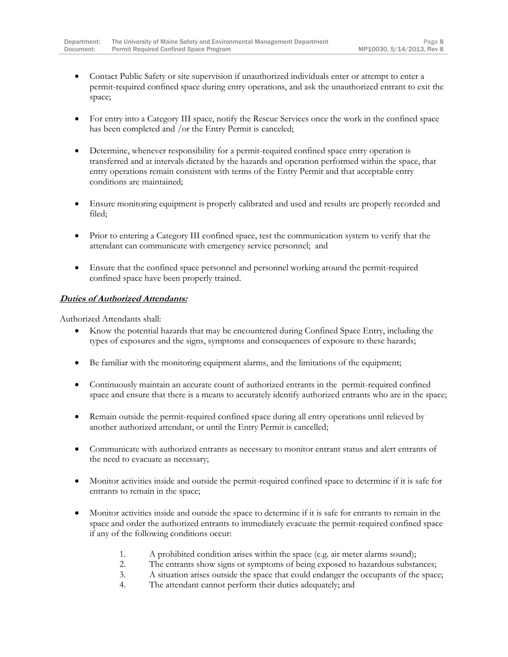- Contact Public Safety or site supervision if unauthorized individuals enter or attempt to enter a permit-required confined space during entry operations, and ask the unauthorized entrant to exit the space;
- For entry into a Category III space, notify the Rescue Services once the work in the confined space has been completed and /or the Entry Permit is canceled;
- Determine, whenever responsibility for a permit-required confined space entry operation is transferred and at intervals dictated by the hazards and operation performed within the space, that entry operations remain consistent with terms of the Entry Permit and that acceptable entry conditions are maintained;
- Ensure monitoring equipment is properly calibrated and used and results are properly recorded and filed;
- Prior to entering a Category III confined space, test the communication system to verify that the attendant can communicate with emergency service personnel; and
- Ensure that the confined space personnel and personnel working around the permit-required confined space have been properly trained.

### **Duties of Authorized Attendants:**

Authorized Attendants shall:

- Know the potential hazards that may be encountered during Confined Space Entry, including the types of exposures and the signs, symptoms and consequences of exposure to these hazards;
- Be familiar with the monitoring equipment alarms, and the limitations of the equipment;
- Continuously maintain an accurate count of authorized entrants in the permit-required confined space and ensure that there is a means to accurately identify authorized entrants who are in the space;
- Remain outside the permit-required confined space during all entry operations until relieved by another authorized attendant, or until the Entry Permit is cancelled;
- Communicate with authorized entrants as necessary to monitor entrant status and alert entrants of the need to evacuate as necessary;
- Monitor activities inside and outside the permit-required confined space to determine if it is safe for entrants to remain in the space;
- Monitor activities inside and outside the space to determine if it is safe for entrants to remain in the space and order the authorized entrants to immediately evacuate the permit-required confined space if any of the following conditions occur:
	- 1. A prohibited condition arises within the space (e.g. air meter alarms sound);
	- 2. The entrants show signs or symptoms of being exposed to hazardous substances;
	- 3. A situation arises outside the space that could endanger the occupants of the space;
	- 4. The attendant cannot perform their duties adequately; and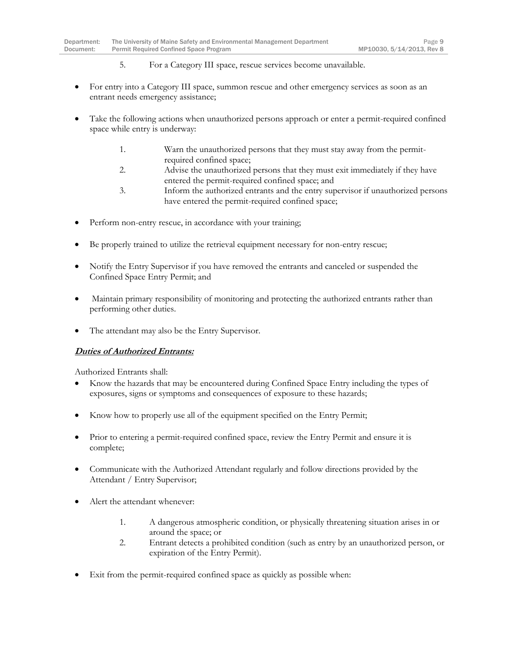- 5. For a Category III space, rescue services become unavailable.
- For entry into a Category III space, summon rescue and other emergency services as soon as an entrant needs emergency assistance;
- Take the following actions when unauthorized persons approach or enter a permit-required confined space while entry is underway:
	- 1. Warn the unauthorized persons that they must stay away from the permitrequired confined space;
	- 2. Advise the unauthorized persons that they must exit immediately if they have entered the permit-required confined space; and
	- 3. Inform the authorized entrants and the entry supervisor if unauthorized persons have entered the permit-required confined space;
- Perform non-entry rescue, in accordance with your training;
- Be properly trained to utilize the retrieval equipment necessary for non-entry rescue;
- Notify the Entry Supervisor if you have removed the entrants and canceled or suspended the Confined Space Entry Permit; and
- Maintain primary responsibility of monitoring and protecting the authorized entrants rather than performing other duties.
- The attendant may also be the Entry Supervisor.

#### **Duties of Authorized Entrants:**

Authorized Entrants shall:

- Know the hazards that may be encountered during Confined Space Entry including the types of exposures, signs or symptoms and consequences of exposure to these hazards;
- Know how to properly use all of the equipment specified on the Entry Permit;
- Prior to entering a permit-required confined space, review the Entry Permit and ensure it is complete;
- Communicate with the Authorized Attendant regularly and follow directions provided by the Attendant / Entry Supervisor;
- Alert the attendant whenever:
	- 1. A dangerous atmospheric condition, or physically threatening situation arises in or around the space; or
	- 2. Entrant detects a prohibited condition (such as entry by an unauthorized person, or expiration of the Entry Permit).
- Exit from the permit-required confined space as quickly as possible when: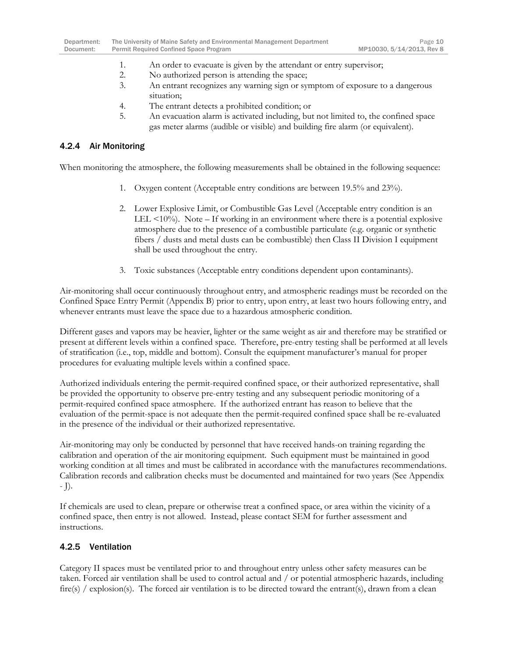- 1. An order to evacuate is given by the attendant or entry supervisor;
- 2. No authorized person is attending the space;
- 3. An entrant recognizes any warning sign or symptom of exposure to a dangerous situation;
- 4. The entrant detects a prohibited condition; or
- 5. An evacuation alarm is activated including, but not limited to, the confined space gas meter alarms (audible or visible) and building fire alarm (or equivalent).

#### 4.2.4 Air Monitoring

When monitoring the atmosphere, the following measurements shall be obtained in the following sequence:

- 1. Oxygen content (Acceptable entry conditions are between 19.5% and 23%).
- 2. Lower Explosive Limit, or Combustible Gas Level (Acceptable entry condition is an LEL  $\leq 10\%$ ). Note – If working in an environment where there is a potential explosive atmosphere due to the presence of a combustible particulate (e.g. organic or synthetic fibers / dusts and metal dusts can be combustible) then Class II Division I equipment shall be used throughout the entry.
- 3. Toxic substances (Acceptable entry conditions dependent upon contaminants).

Air-monitoring shall occur continuously throughout entry, and atmospheric readings must be recorded on the Confined Space Entry Permit (Appendix B) prior to entry, upon entry, at least two hours following entry, and whenever entrants must leave the space due to a hazardous atmospheric condition.

Different gases and vapors may be heavier, lighter or the same weight as air and therefore may be stratified or present at different levels within a confined space. Therefore, pre-entry testing shall be performed at all levels of stratification (i.e., top, middle and bottom). Consult the equipment manufacturer's manual for proper procedures for evaluating multiple levels within a confined space.

Authorized individuals entering the permit-required confined space, or their authorized representative, shall be provided the opportunity to observe pre-entry testing and any subsequent periodic monitoring of a permit-required confined space atmosphere. If the authorized entrant has reason to believe that the evaluation of the permit-space is not adequate then the permit-required confined space shall be re-evaluated in the presence of the individual or their authorized representative.

Air-monitoring may only be conducted by personnel that have received hands-on training regarding the calibration and operation of the air monitoring equipment. Such equipment must be maintained in good working condition at all times and must be calibrated in accordance with the manufactures recommendations. Calibration records and calibration checks must be documented and maintained for two years (See Appendix - J).

If chemicals are used to clean, prepare or otherwise treat a confined space, or area within the vicinity of a confined space, then entry is not allowed. Instead, please contact SEM for further assessment and instructions.

## 4.2.5 Ventilation

Category II spaces must be ventilated prior to and throughout entry unless other safety measures can be taken. Forced air ventilation shall be used to control actual and / or potential atmospheric hazards, including fire(s) / explosion(s). The forced air ventilation is to be directed toward the entrant(s), drawn from a clean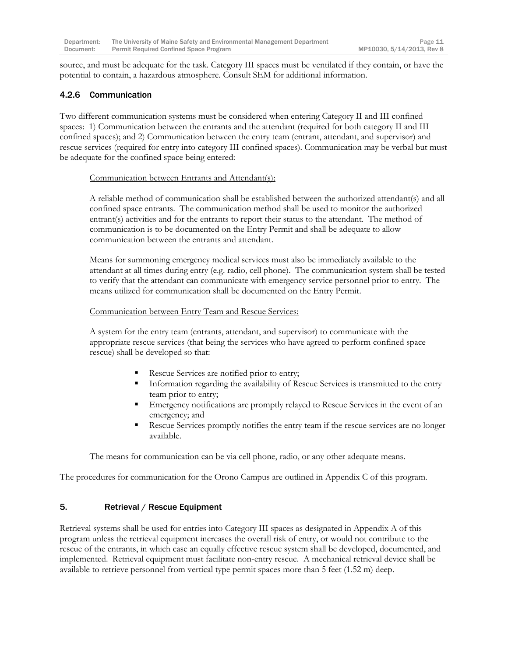source, and must be adequate for the task. Category III spaces must be ventilated if they contain, or have the potential to contain, a hazardous atmosphere. Consult SEM for additional information.

## 4.2.6 Communication

Two different communication systems must be considered when entering Category II and III confined spaces: 1) Communication between the entrants and the attendant (required for both category II and III confined spaces); and 2) Communication between the entry team (entrant, attendant, and supervisor) and rescue services (required for entry into category III confined spaces). Communication may be verbal but must be adequate for the confined space being entered:

#### Communication between Entrants and Attendant(s):

A reliable method of communication shall be established between the authorized attendant(s) and all confined space entrants. The communication method shall be used to monitor the authorized entrant(s) activities and for the entrants to report their status to the attendant. The method of communication is to be documented on the Entry Permit and shall be adequate to allow communication between the entrants and attendant.

Means for summoning emergency medical services must also be immediately available to the attendant at all times during entry (e.g. radio, cell phone). The communication system shall be tested to verify that the attendant can communicate with emergency service personnel prior to entry. The means utilized for communication shall be documented on the Entry Permit.

#### Communication between Entry Team and Rescue Services:

A system for the entry team (entrants, attendant, and supervisor) to communicate with the appropriate rescue services (that being the services who have agreed to perform confined space rescue) shall be developed so that:

- Rescue Services are notified prior to entry;
- Information regarding the availability of Rescue Services is transmitted to the entry team prior to entry;
- Emergency notifications are promptly relayed to Rescue Services in the event of an emergency; and
- Rescue Services promptly notifies the entry team if the rescue services are no longer available.

The means for communication can be via cell phone, radio, or any other adequate means.

The procedures for communication for the Orono Campus are outlined in Appendix C of this program.

#### <span id="page-13-0"></span>5. Retrieval / Rescue Equipment

Retrieval systems shall be used for entries into Category III spaces as designated in Appendix A of this program unless the retrieval equipment increases the overall risk of entry, or would not contribute to the rescue of the entrants, in which case an equally effective rescue system shall be developed, documented, and implemented. Retrieval equipment must facilitate non-entry rescue. A mechanical retrieval device shall be available to retrieve personnel from vertical type permit spaces more than 5 feet (1.52 m) deep.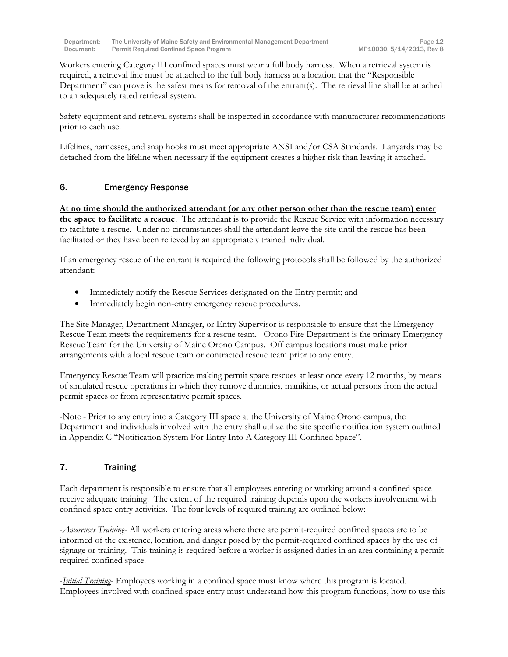Workers entering Category III confined spaces must wear a full body harness. When a retrieval system is required, a retrieval line must be attached to the full body harness at a location that the "Responsible Department" can prove is the safest means for removal of the entrant(s). The retrieval line shall be attached to an adequately rated retrieval system.

Safety equipment and retrieval systems shall be inspected in accordance with manufacturer recommendations prior to each use.

Lifelines, harnesses, and snap hooks must meet appropriate ANSI and/or CSA Standards. Lanyards may be detached from the lifeline when necessary if the equipment creates a higher risk than leaving it attached.

### <span id="page-14-0"></span>6. Emergency Response

**At no time should the authorized attendant (or any other person other than the rescue team) enter the space to facilitate a rescue**. The attendant is to provide the Rescue Service with information necessary to facilitate a rescue. Under no circumstances shall the attendant leave the site until the rescue has been facilitated or they have been relieved by an appropriately trained individual.

If an emergency rescue of the entrant is required the following protocols shall be followed by the authorized attendant:

- Immediately notify the Rescue Services designated on the Entry permit; and
- Immediately begin non-entry emergency rescue procedures.

The Site Manager, Department Manager, or Entry Supervisor is responsible to ensure that the Emergency Rescue Team meets the requirements for a rescue team. Orono Fire Department is the primary Emergency Rescue Team for the University of Maine Orono Campus. Off campus locations must make prior arrangements with a local rescue team or contracted rescue team prior to any entry.

Emergency Rescue Team will practice making permit space rescues at least once every 12 months, by means of simulated rescue operations in which they remove dummies, manikins, or actual persons from the actual permit spaces or from representative permit spaces.

-Note - Prior to any entry into a Category III space at the University of Maine Orono campus, the Department and individuals involved with the entry shall utilize the site specific notification system outlined in Appendix C "Notification System For Entry Into A Category III Confined Space".

## <span id="page-14-1"></span>7. Training

Each department is responsible to ensure that all employees entering or working around a confined space receive adequate training. The extent of the required training depends upon the workers involvement with confined space entry activities. The four levels of required training are outlined below:

-*Awareness Training*- All workers entering areas where there are permit-required confined spaces are to be informed of the existence, location, and danger posed by the permit-required confined spaces by the use of signage or training. This training is required before a worker is assigned duties in an area containing a permitrequired confined space.

-*Initial Training*- Employees working in a confined space must know where this program is located. Employees involved with confined space entry must understand how this program functions, how to use this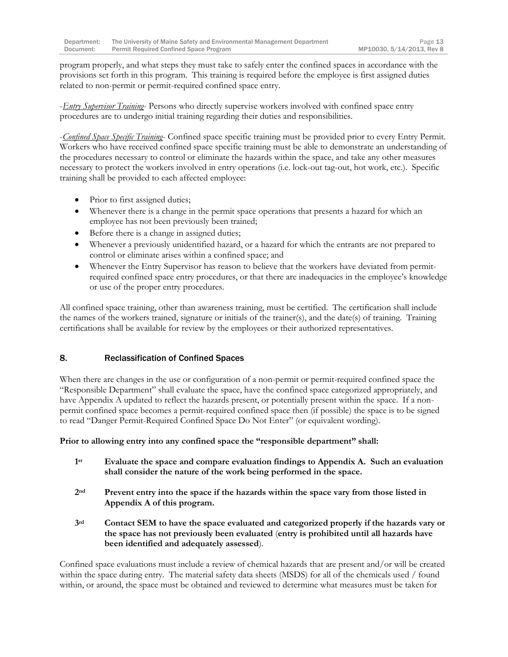program properly, and what steps they must take to safely enter the confined spaces in accordance with the provisions set forth in this program. This training is required before the employee is first assigned duties related to non-permit or permit-required confined space entry.

-*Entry Supervisor Training*- Persons who directly supervise workers involved with confined space entry procedures are to undergo initial training regarding their duties and responsibilities.

-*Confined Space Specific Training*- Confined space specific training must be provided prior to every Entry Permit. Workers who have received confined space specific training must be able to demonstrate an understanding of the procedures necessary to control or eliminate the hazards within the space, and take any other measures necessary to protect the workers involved in entry operations (i.e. lock-out tag-out, hot work, etc.). Specific training shall be provided to each affected employee:

- Prior to first assigned duties;
- Whenever there is a change in the permit space operations that presents a hazard for which an employee has not been previously been trained;
- Before there is a change in assigned duties;
- Whenever a previously unidentified hazard, or a hazard for which the entrants are not prepared to control or eliminate arises within a confined space; and
- Whenever the Entry Supervisor has reason to believe that the workers have deviated from permitrequired confined space entry procedures, or that there are inadequacies in the employee's knowledge or use of the proper entry procedures.

All confined space training, other than awareness training, must be certified. The certification shall include the names of the workers trained, signature or initials of the trainer(s), and the date(s) of training. Training certifications shall be available for review by the employees or their authorized representatives.

#### <span id="page-15-0"></span>8. Reclassification of Confined Spaces

When there are changes in the use or configuration of a non-permit or permit-required confined space the "Responsible Department" shall evaluate the space, have the confined space categorized appropriately, and have Appendix A updated to reflect the hazards present, or potentially present within the space. If a nonpermit confined space becomes a permit-required confined space then (if possible) the space is to be signed to read "Danger Permit-Required Confined Space Do Not Enter" (or equivalent wording).

**Prior to allowing entry into any confined space the "responsible department" shall:**

- **1 st Evaluate the space and compare evaluation findings to Appendix A. Such an evaluation shall consider the nature of the work being performed in the space.**
- **2nd Prevent entry into the space if the hazards within the space vary from those listed in Appendix A of this program.**
- **3rd Contact SEM to have the space evaluated and categorized properly if the hazards vary or the space has not previously been evaluated** (**entry is prohibited until all hazards have been identified and adequately assessed**).

Confined space evaluations must include a review of chemical hazards that are present and/or will be created within the space during entry. The material safety data sheets (MSDS) for all of the chemicals used / found within, or around, the space must be obtained and reviewed to determine what measures must be taken for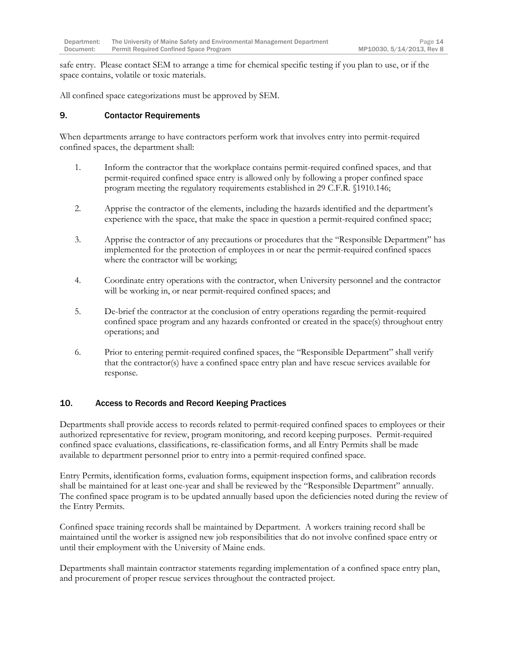safe entry. Please contact SEM to arrange a time for chemical specific testing if you plan to use, or if the space contains, volatile or toxic materials.

All confined space categorizations must be approved by SEM.

#### <span id="page-16-0"></span>9. Contactor Requirements

When departments arrange to have contractors perform work that involves entry into permit-required confined spaces, the department shall:

- 1. Inform the contractor that the workplace contains permit-required confined spaces, and that permit-required confined space entry is allowed only by following a proper confined space program meeting the regulatory requirements established in 29 C.F.R. §1910.146;
- 2. Apprise the contractor of the elements, including the hazards identified and the department's experience with the space, that make the space in question a permit-required confined space;
- 3. Apprise the contractor of any precautions or procedures that the "Responsible Department" has implemented for the protection of employees in or near the permit-required confined spaces where the contractor will be working;
- 4. Coordinate entry operations with the contractor, when University personnel and the contractor will be working in, or near permit-required confined spaces; and
- 5. De-brief the contractor at the conclusion of entry operations regarding the permit-required confined space program and any hazards confronted or created in the space(s) throughout entry operations; and
- 6. Prior to entering permit-required confined spaces, the "Responsible Department" shall verify that the contractor(s) have a confined space entry plan and have rescue services available for response.

#### <span id="page-16-1"></span>10. Access to Records and Record Keeping Practices

Departments shall provide access to records related to permit-required confined spaces to employees or their authorized representative for review, program monitoring, and record keeping purposes. Permit-required confined space evaluations, classifications, re-classification forms, and all Entry Permits shall be made available to department personnel prior to entry into a permit-required confined space.

Entry Permits, identification forms, evaluation forms, equipment inspection forms, and calibration records shall be maintained for at least one-year and shall be reviewed by the "Responsible Department" annually. The confined space program is to be updated annually based upon the deficiencies noted during the review of the Entry Permits.

Confined space training records shall be maintained by Department. A workers training record shall be maintained until the worker is assigned new job responsibilities that do not involve confined space entry or until their employment with the University of Maine ends.

Departments shall maintain contractor statements regarding implementation of a confined space entry plan, and procurement of proper rescue services throughout the contracted project.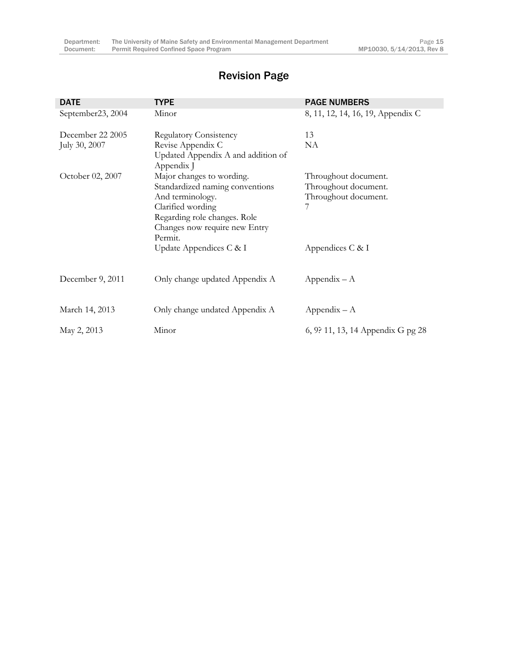# Revision Page

| <b>DATE</b>       | <b>TYPE</b>                                      | <b>PAGE NUMBERS</b>               |
|-------------------|--------------------------------------------------|-----------------------------------|
| September23, 2004 | Minor                                            | 8, 11, 12, 14, 16, 19, Appendix C |
| December 22 2005  | <b>Regulatory Consistency</b>                    | 13                                |
| July 30, 2007     | Revise Appendix C                                | NA.                               |
|                   | Updated Appendix A and addition of<br>Appendix J |                                   |
| October 02, 2007  | Major changes to wording.                        | Throughout document.              |
|                   | Standardized naming conventions                  | Throughout document.              |
|                   | And terminology.                                 | Throughout document.              |
|                   | Clarified wording                                | 7                                 |
|                   | Regarding role changes. Role                     |                                   |
|                   | Changes now require new Entry                    |                                   |
|                   | Permit.                                          |                                   |
|                   | Update Appendices C & I                          | Appendices C & I                  |
|                   |                                                  |                                   |
| December 9, 2011  | Only change updated Appendix A                   | $Appendix - A$                    |
|                   |                                                  |                                   |
| March 14, 2013    | Only change undated Appendix A                   | $Appendix - A$                    |
|                   |                                                  |                                   |
| May 2, 2013       | Minor                                            | 6, 9? 11, 13, 14 Appendix G pg 28 |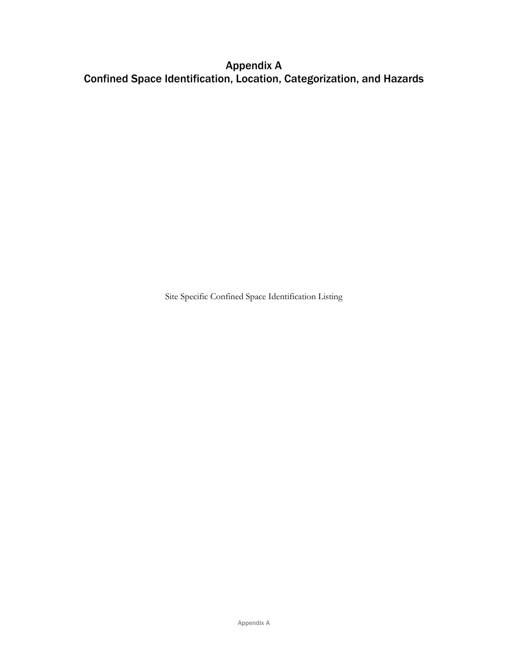# Appendix A Confined Space Identification, Location, Categorization, and Hazards

Site Specific Confined Space Identification Listing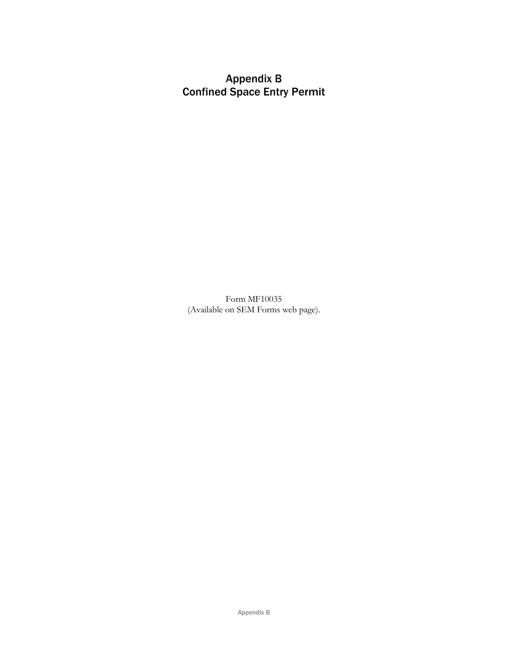# Appendix B Confined Space Entry Permit

Form MF10035 (Available on SEM Forms web page).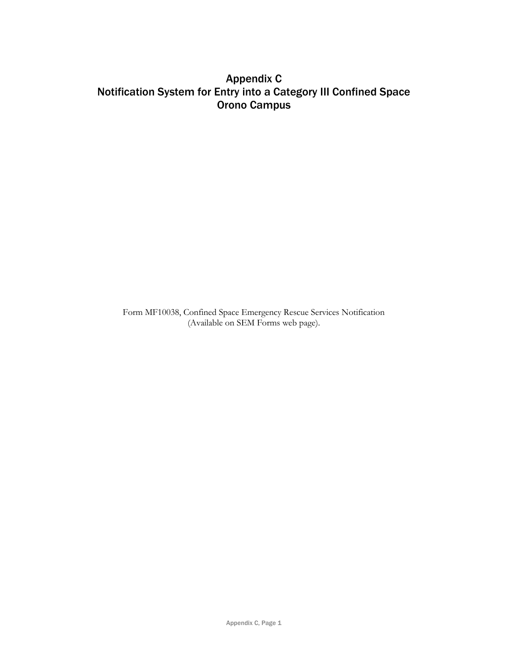# Appendix C Notification System for Entry into a Category III Confined Space Orono Campus

Form MF10038, Confined Space Emergency Rescue Services Notification (Available on SEM Forms web page).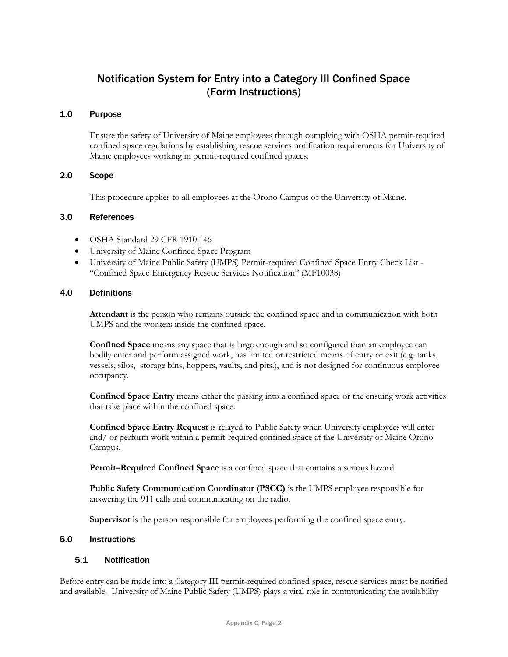# Notification System for Entry into a Category III Confined Space (Form Instructions)

#### 1.0 Purpose

Ensure the safety of University of Maine employees through complying with OSHA permit-required confined space regulations by establishing rescue services notification requirements for University of Maine employees working in permit-required confined spaces.

#### 2.0 Scope

This procedure applies to all employees at the Orono Campus of the University of Maine.

#### 3.0 References

- OSHA Standard 29 CFR 1910 146
- University of Maine Confined Space Program
- University of Maine Public Safety (UMPS) Permit-required Confined Space Entry Check List "Confined Space Emergency Rescue Services Notification" (MF10038)

#### 4.0 Definitions

**Attendant** is the person who remains outside the confined space and in communication with both UMPS and the workers inside the confined space.

**Confined Space** means any space that is large enough and so configured than an employee can bodily enter and perform assigned work, has limited or restricted means of entry or exit (e.g. tanks, vessels, silos, storage bins, hoppers, vaults, and pits.), and is not designed for continuous employee occupancy.

**Confined Space Entry** means either the passing into a confined space or the ensuing work activities that take place within the confined space.

**Confined Space Entry Request** is relayed to Public Safety when University employees will enter and/ or perform work within a permit-required confined space at the University of Maine Orono Campus.

**Permit–Required Confined Space** is a confined space that contains a serious hazard.

**Public Safety Communication Coordinator (PSCC)** is the UMPS employee responsible for answering the 911 calls and communicating on the radio.

**Supervisor** is the person responsible for employees performing the confined space entry.

#### 5.0 Instructions

#### 5.1 Notification

Before entry can be made into a Category III permit-required confined space, rescue services must be notified and available. University of Maine Public Safety (UMPS) plays a vital role in communicating the availability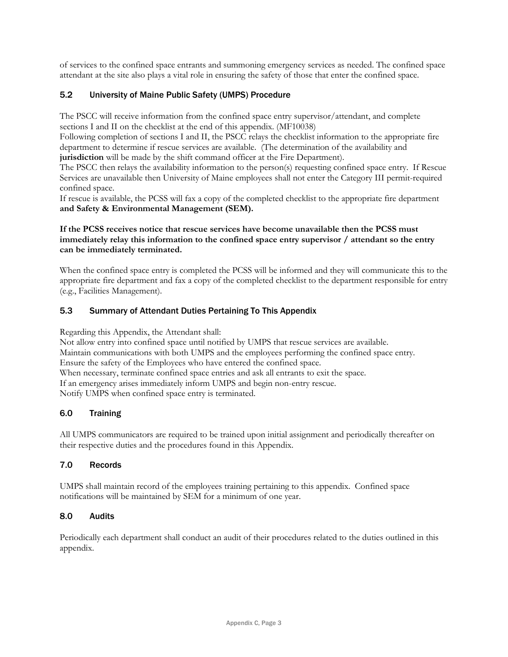of services to the confined space entrants and summoning emergency services as needed. The confined space attendant at the site also plays a vital role in ensuring the safety of those that enter the confined space.

### 5.2 University of Maine Public Safety (UMPS) Procedure

The PSCC will receive information from the confined space entry supervisor/attendant, and complete sections I and II on the checklist at the end of this appendix. (MF10038)

Following completion of sections I and II, the PSCC relays the checklist information to the appropriate fire department to determine if rescue services are available. (The determination of the availability and **jurisdiction** will be made by the shift command officer at the Fire Department).

The PSCC then relays the availability information to the person(s) requesting confined space entry. If Rescue Services are unavailable then University of Maine employees shall not enter the Category III permit-required confined space.

If rescue is available, the PCSS will fax a copy of the completed checklist to the appropriate fire department **and Safety & Environmental Management (SEM).** 

#### **If the PCSS receives notice that rescue services have become unavailable then the PCSS must immediately relay this information to the confined space entry supervisor / attendant so the entry can be immediately terminated.**

When the confined space entry is completed the PCSS will be informed and they will communicate this to the appropriate fire department and fax a copy of the completed checklist to the department responsible for entry (e.g., Facilities Management).

### 5.3 Summary of Attendant Duties Pertaining To This Appendix

Regarding this Appendix, the Attendant shall:

Not allow entry into confined space until notified by UMPS that rescue services are available. Maintain communications with both UMPS and the employees performing the confined space entry. Ensure the safety of the Employees who have entered the confined space. When necessary, terminate confined space entries and ask all entrants to exit the space. If an emergency arises immediately inform UMPS and begin non-entry rescue. Notify UMPS when confined space entry is terminated.

#### 6.0 Training

All UMPS communicators are required to be trained upon initial assignment and periodically thereafter on their respective duties and the procedures found in this Appendix.

#### 7.0 Records

UMPS shall maintain record of the employees training pertaining to this appendix. Confined space notifications will be maintained by SEM for a minimum of one year.

#### 8.0 Audits

Periodically each department shall conduct an audit of their procedures related to the duties outlined in this appendix.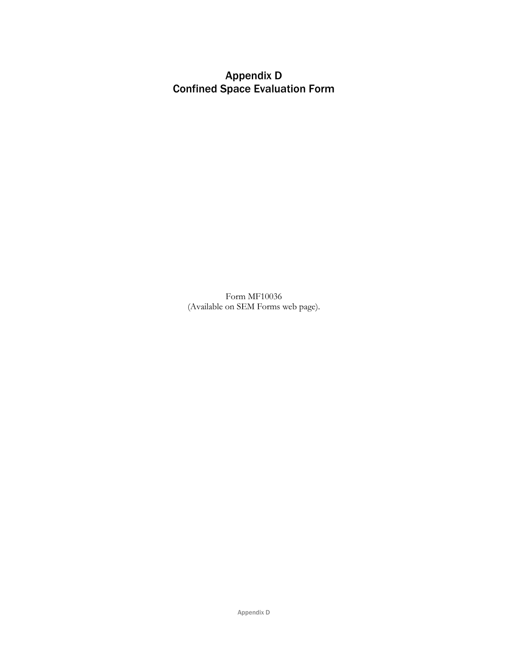# Appendix D Confined Space Evaluation Form

Form MF10036 (Available on SEM Forms web page).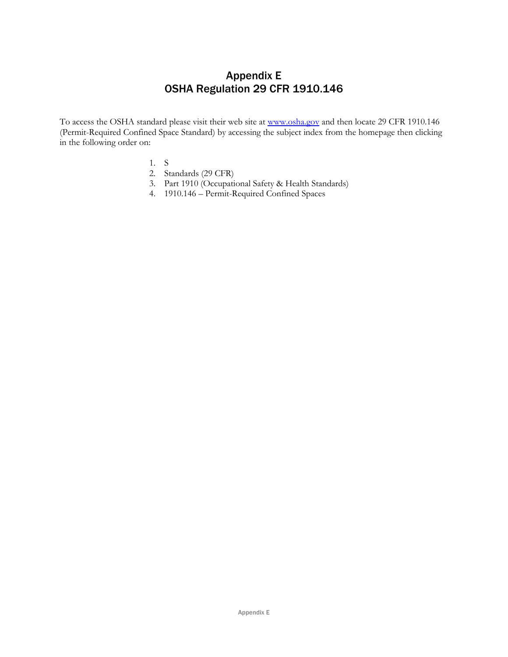# Appendix E OSHA Regulation 29 CFR 1910.146

To access the OSHA standard please visit their web site at [www.osha.gov](http://www.osha.gov/) and then locate 29 CFR 1910.146 (Permit-Required Confined Space Standard) by accessing the subject index from the homepage then clicking in the following order on:

- 1. S
- 2. Standards (29 CFR)
- 3. Part 1910 (Occupational Safety & Health Standards)
- 4. 1910.146 Permit-Required Confined Spaces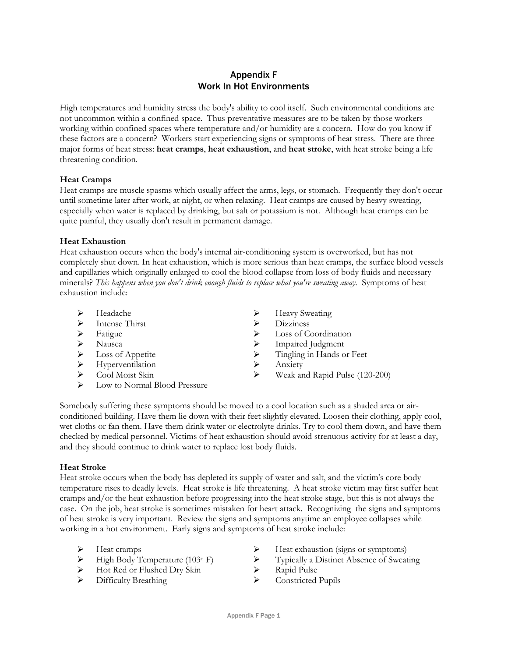## Appendix F Work In Hot Environments

High temperatures and humidity stress the body's ability to cool itself. Such environmental conditions are not uncommon within a confined space. Thus preventative measures are to be taken by those workers working within confined spaces where temperature and/or humidity are a concern. How do you know if these factors are a concern? Workers start experiencing signs or symptoms of heat stress. There are three major forms of heat stress: **heat cramps**, **heat exhaustion**, and **heat stroke**, with heat stroke being a life threatening condition.

#### **Heat Cramps**

Heat cramps are muscle spasms which usually affect the arms, legs, or stomach. Frequently they don't occur until sometime later after work, at night, or when relaxing. Heat cramps are caused by heavy sweating, especially when water is replaced by drinking, but salt or potassium is not. Although heat cramps can be quite painful, they usually don't result in permanent damage.

#### **Heat Exhaustion**

Heat exhaustion occurs when the body's internal air-conditioning system is overworked, but has not completely shut down. In heat exhaustion, which is more serious than heat cramps, the surface blood vessels and capillaries which originally enlarged to cool the blood collapse from loss of body fluids and necessary minerals? *This happens when you don't drink enough fluids to replace what you're sweating away.* Symptoms of heat exhaustion include:

- 
- 
- 
- 
- <table>\n<tbody>\n<tr>\n<th>▶</th>\n<th>Intense Thrist</th>\n<th>▶</th>\n<th>Dizziness</th>\n</tr>\n<tr>\n<td>▶</td>\n<td>Fatigue</td>\n<td>▶</td>\n<td>Loss of C</td>\n</tr>\n<tr>\n<td>▶</td>\n<td>Nausea</td>\n<td>▶</td>\n<td>Impaired</td>\n</tr>\n<tr>\n<td>▶</td>\n<td>Loss of Appette</td>\n<td>▶</td>\n<td>Trigling in</td>\n</tr>\n<tr>\n<td>▶</td>\n<td>Hyperventionalation</td>\n<td>▶</td>\n<td>Answer</td>\n</tr>\n</tbody>\n</table>
- Hyperventilation > Anxiety
- 
- Low to Normal Blood Pressure

→ Headache → Heavy Sweating

- 
- → Fatigue → Loss of Coordination<br>
→ Nausea → Impaired Judgment
	- Nausea **Impaired Judgment**
- > Loss of Appetite > Tingling in Hands or Feet<br>> Hyperventilation > Anxiety
	-
- Cool Moist Skin Weak and Rapid Pulse (120-200)

Somebody suffering these symptoms should be moved to a cool location such as a shaded area or airconditioned building. Have them lie down with their feet slightly elevated. Loosen their clothing, apply cool, wet cloths or fan them. Have them drink water or electrolyte drinks. Try to cool them down, and have them checked by medical personnel. Victims of heat exhaustion should avoid strenuous activity for at least a day, and they should continue to drink water to replace lost body fluids.

#### **Heat Stroke**

Heat stroke occurs when the body has depleted its supply of water and salt, and the victim's core body temperature rises to deadly levels. Heat stroke is life threatening. A heat stroke victim may first suffer heat cramps and/or the heat exhaustion before progressing into the heat stroke stage, but this is not always the case. On the job, heat stroke is sometimes mistaken for heart attack. Recognizing the signs and symptoms of heat stroke is very important. Review the signs and symptoms anytime an employee collapses while working in a hot environment. Early signs and symptoms of heat stroke include:

- 
- 
- > Hot Red or Flushed Dry Skin > Rapid Pulse
- $\triangleright$  Difficulty Breathing  $\triangleright$  Constricted Pupils
- → Heat cramps → Heat exhaustion (signs or symptoms)
- $\triangleright$  High Body Temperature (103° F)  $\triangleright$  Typically a Distinct Absence of Sweating
	-
	-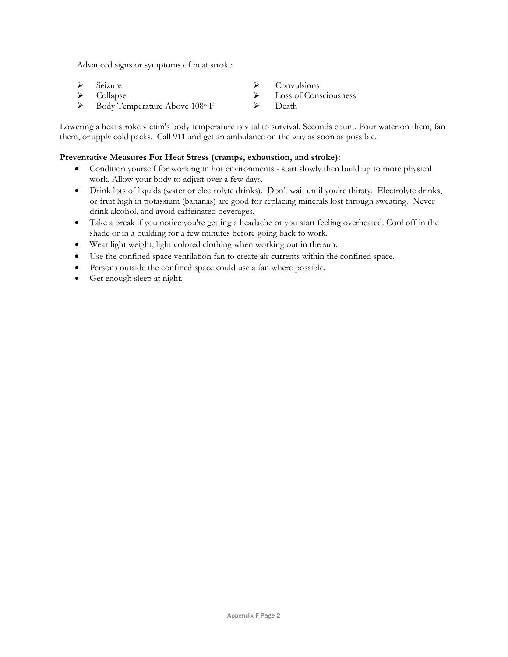Advanced signs or symptoms of heat stroke:

| $\triangleright$ Seizure                       | $\triangleright$ Convulsions           |
|------------------------------------------------|----------------------------------------|
| $\triangleright$ Collapse                      | $\triangleright$ Loss of Consciousness |
| $\triangleright$ Body Temperature Above 108° F | – Death                                |

Lowering a heat stroke victim's body temperature is vital to survival. Seconds count. Pour water on them, fan them, or apply cold packs. Call 911 and get an ambulance on the way as soon as possible.

#### **Preventative Measures For Heat Stress (cramps, exhaustion, and stroke):**

- Condition yourself for working in hot environments start slowly then build up to more physical work. Allow your body to adjust over a few days.
- Drink lots of liquids (water or electrolyte drinks). Don't wait until you're thirsty. Electrolyte drinks, or fruit high in potassium (bananas) are good for replacing minerals lost through sweating. Never drink alcohol, and avoid caffeinated beverages.
- Take a break if you notice you're getting a headache or you start feeling overheated. Cool off in the shade or in a building for a few minutes before going back to work.
- Wear light weight, light colored clothing when working out in the sun.
- Use the confined space ventilation fan to create air currents within the confined space.
- Persons outside the confined space could use a fan where possible.
- Get enough sleep at night.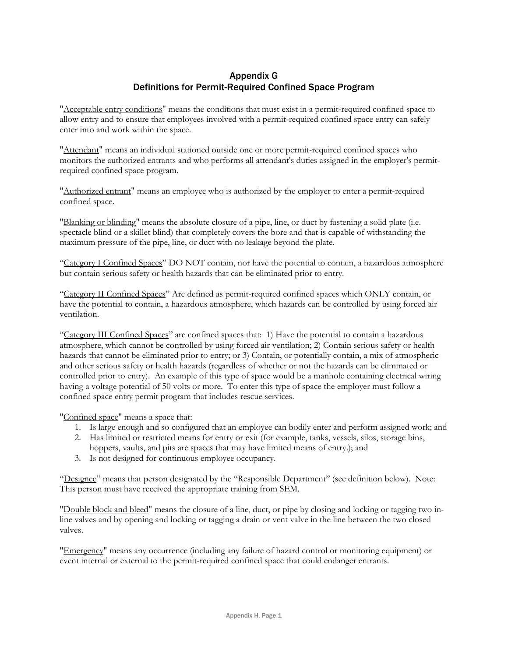# Appendix G Definitions for Permit-Required Confined Space Program

"Acceptable entry conditions" means the conditions that must exist in a permit-required confined space to allow entry and to ensure that employees involved with a permit-required confined space entry can safely enter into and work within the space.

"Attendant" means an individual stationed outside one or more permit-required confined spaces who monitors the authorized entrants and who performs all attendant's duties assigned in the employer's permitrequired confined space program.

"Authorized entrant" means an employee who is authorized by the employer to enter a permit-required confined space.

"Blanking or blinding" means the absolute closure of a pipe, line, or duct by fastening a solid plate (i.e. spectacle blind or a skillet blind) that completely covers the bore and that is capable of withstanding the maximum pressure of the pipe, line, or duct with no leakage beyond the plate.

"Category I Confined Spaces" DO NOT contain, nor have the potential to contain, a hazardous atmosphere but contain serious safety or health hazards that can be eliminated prior to entry.

"Category II Confined Spaces" Are defined as permit-required confined spaces which ONLY contain, or have the potential to contain, a hazardous atmosphere, which hazards can be controlled by using forced air ventilation.

"Category III Confined Spaces" are confined spaces that: 1) Have the potential to contain a hazardous atmosphere, which cannot be controlled by using forced air ventilation; 2) Contain serious safety or health hazards that cannot be eliminated prior to entry; or 3) Contain, or potentially contain, a mix of atmospheric and other serious safety or health hazards (regardless of whether or not the hazards can be eliminated or controlled prior to entry). An example of this type of space would be a manhole containing electrical wiring having a voltage potential of 50 volts or more. To enter this type of space the employer must follow a confined space entry permit program that includes rescue services.

"Confined space" means a space that:

- 1. Is large enough and so configured that an employee can bodily enter and perform assigned work; and
- 2. Has limited or restricted means for entry or exit (for example, tanks, vessels, silos, storage bins, hoppers, vaults, and pits are spaces that may have limited means of entry.); and
- 3. Is not designed for continuous employee occupancy.

"Designee" means that person designated by the "Responsible Department" (see definition below). Note: This person must have received the appropriate training from SEM.

"Double block and bleed" means the closure of a line, duct, or pipe by closing and locking or tagging two inline valves and by opening and locking or tagging a drain or vent valve in the line between the two closed valves.

"Emergency" means any occurrence (including any failure of hazard control or monitoring equipment) or event internal or external to the permit-required confined space that could endanger entrants.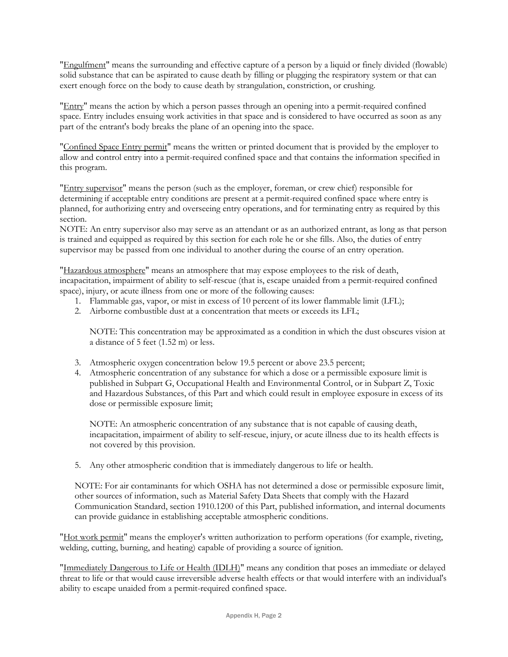"Engulfment" means the surrounding and effective capture of a person by a liquid or finely divided (flowable) solid substance that can be aspirated to cause death by filling or plugging the respiratory system or that can exert enough force on the body to cause death by strangulation, constriction, or crushing.

"Entry" means the action by which a person passes through an opening into a permit-required confined space. Entry includes ensuing work activities in that space and is considered to have occurred as soon as any part of the entrant's body breaks the plane of an opening into the space.

"Confined Space Entry permit" means the written or printed document that is provided by the employer to allow and control entry into a permit-required confined space and that contains the information specified in this program.

"Entry supervisor" means the person (such as the employer, foreman, or crew chief) responsible for determining if acceptable entry conditions are present at a permit-required confined space where entry is planned, for authorizing entry and overseeing entry operations, and for terminating entry as required by this section.

NOTE: An entry supervisor also may serve as an attendant or as an authorized entrant, as long as that person is trained and equipped as required by this section for each role he or she fills. Also, the duties of entry supervisor may be passed from one individual to another during the course of an entry operation.

"Hazardous atmosphere" means an atmosphere that may expose employees to the risk of death, incapacitation, impairment of ability to self-rescue (that is, escape unaided from a permit-required confined space), injury, or acute illness from one or more of the following causes:

- 1. Flammable gas, vapor, or mist in excess of 10 percent of its lower flammable limit (LFL);
- 2. Airborne combustible dust at a concentration that meets or exceeds its LFL;

NOTE: This concentration may be approximated as a condition in which the dust obscures vision at a distance of 5 feet (1.52 m) or less.

- 3. Atmospheric oxygen concentration below 19.5 percent or above 23.5 percent;
- 4. Atmospheric concentration of any substance for which a dose or a permissible exposure limit is published in Subpart G, Occupational Health and Environmental Control, or in Subpart Z, Toxic and Hazardous Substances, of this Part and which could result in employee exposure in excess of its dose or permissible exposure limit;

NOTE: An atmospheric concentration of any substance that is not capable of causing death, incapacitation, impairment of ability to self-rescue, injury, or acute illness due to its health effects is not covered by this provision.

5. Any other atmospheric condition that is immediately dangerous to life or health.

NOTE: For air contaminants for which OSHA has not determined a dose or permissible exposure limit, other sources of information, such as Material Safety Data Sheets that comply with the Hazard Communication Standard, section 1910.1200 of this Part, published information, and internal documents can provide guidance in establishing acceptable atmospheric conditions.

"Hot work permit" means the employer's written authorization to perform operations (for example, riveting, welding, cutting, burning, and heating) capable of providing a source of ignition.

"Immediately Dangerous to Life or Health (IDLH)" means any condition that poses an immediate or delayed threat to life or that would cause irreversible adverse health effects or that would interfere with an individual's ability to escape unaided from a permit-required confined space.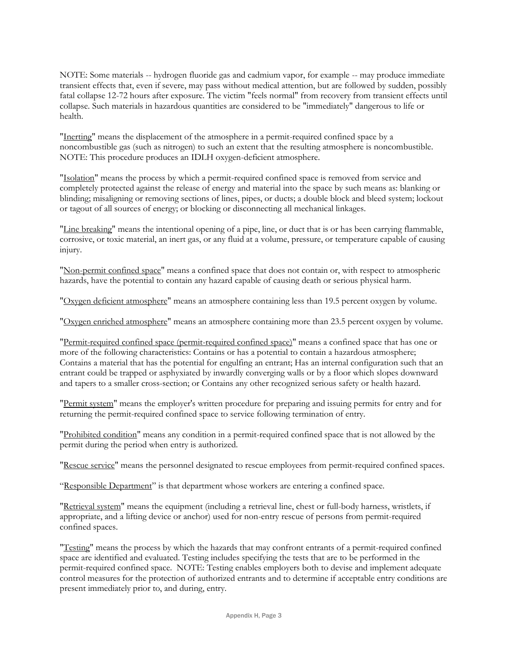NOTE: Some materials -- hydrogen fluoride gas and cadmium vapor, for example -- may produce immediate transient effects that, even if severe, may pass without medical attention, but are followed by sudden, possibly fatal collapse 12-72 hours after exposure. The victim "feels normal" from recovery from transient effects until collapse. Such materials in hazardous quantities are considered to be "immediately" dangerous to life or health.

"Inerting" means the displacement of the atmosphere in a permit-required confined space by a noncombustible gas (such as nitrogen) to such an extent that the resulting atmosphere is noncombustible. NOTE: This procedure produces an IDLH oxygen-deficient atmosphere.

"Isolation" means the process by which a permit-required confined space is removed from service and completely protected against the release of energy and material into the space by such means as: blanking or blinding; misaligning or removing sections of lines, pipes, or ducts; a double block and bleed system; lockout or tagout of all sources of energy; or blocking or disconnecting all mechanical linkages.

"Line breaking" means the intentional opening of a pipe, line, or duct that is or has been carrying flammable, corrosive, or toxic material, an inert gas, or any fluid at a volume, pressure, or temperature capable of causing injury.

"Non-permit confined space" means a confined space that does not contain or, with respect to atmospheric hazards, have the potential to contain any hazard capable of causing death or serious physical harm.

"Oxygen deficient atmosphere" means an atmosphere containing less than 19.5 percent oxygen by volume.

"Oxygen enriched atmosphere" means an atmosphere containing more than 23.5 percent oxygen by volume.

"Permit-required confined space (permit-required confined space)" means a confined space that has one or more of the following characteristics: Contains or has a potential to contain a hazardous atmosphere; Contains a material that has the potential for engulfing an entrant; Has an internal configuration such that an entrant could be trapped or asphyxiated by inwardly converging walls or by a floor which slopes downward and tapers to a smaller cross-section; or Contains any other recognized serious safety or health hazard.

"Permit system" means the employer's written procedure for preparing and issuing permits for entry and for returning the permit-required confined space to service following termination of entry.

"Prohibited condition" means any condition in a permit-required confined space that is not allowed by the permit during the period when entry is authorized.

"Rescue service" means the personnel designated to rescue employees from permit-required confined spaces.

"Responsible Department" is that department whose workers are entering a confined space.

"Retrieval system" means the equipment (including a retrieval line, chest or full-body harness, wristlets, if appropriate, and a lifting device or anchor) used for non-entry rescue of persons from permit-required confined spaces.

"Testing" means the process by which the hazards that may confront entrants of a permit-required confined space are identified and evaluated. Testing includes specifying the tests that are to be performed in the permit-required confined space. NOTE: Testing enables employers both to devise and implement adequate control measures for the protection of authorized entrants and to determine if acceptable entry conditions are present immediately prior to, and during, entry.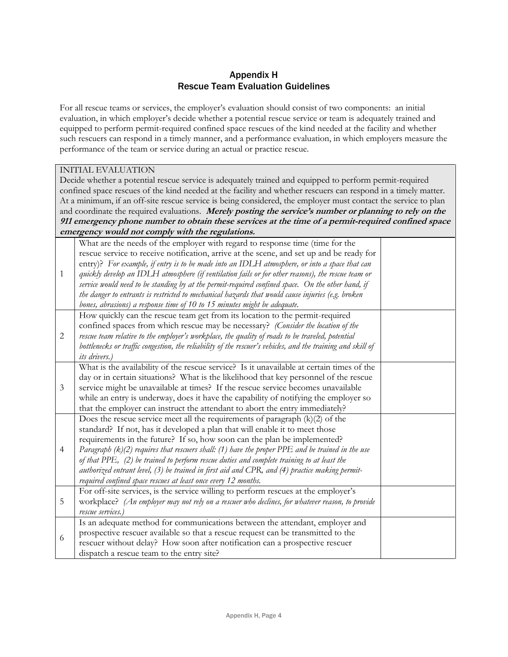## Appendix H Rescue Team Evaluation Guidelines

For all rescue teams or services, the employer's evaluation should consist of two components: an initial evaluation, in which employer's decide whether a potential rescue service or team is adequately trained and equipped to perform permit-required confined space rescues of the kind needed at the facility and whether such rescuers can respond in a timely manner, and a performance evaluation, in which employers measure the performance of the team or service during an actual or practice rescue.

| <b>INITIAL EVALUATION</b>                                                                                      |                                                                                                                |  |  |
|----------------------------------------------------------------------------------------------------------------|----------------------------------------------------------------------------------------------------------------|--|--|
| Decide whether a potential rescue service is adequately trained and equipped to perform permit-required        |                                                                                                                |  |  |
| confined space rescues of the kind needed at the facility and whether rescuers can respond in a timely matter. |                                                                                                                |  |  |
|                                                                                                                | At a minimum, if an off-site rescue service is being considered, the employer must contact the service to plan |  |  |
|                                                                                                                | and coordinate the required evaluations. Merely posting the service's number or planning to rely on the        |  |  |
|                                                                                                                | 911 emergency phone number to obtain these services at the time of a permit-required confined space            |  |  |
|                                                                                                                | emergency would not comply with the regulations.                                                               |  |  |
|                                                                                                                | What are the needs of the employer with regard to response time (time for the                                  |  |  |
|                                                                                                                | rescue service to receive notification, arrive at the scene, and set up and be ready for                       |  |  |
|                                                                                                                | entry)? For example, if entry is to be made into an IDLH atmosphere, or into a space that can                  |  |  |
| $\mathbf{1}$                                                                                                   | quickly develop an IDLH atmosphere (if ventilation fails or for other reasons), the rescue team or             |  |  |
|                                                                                                                | service would need to be standing by at the permit-required confined space. On the other hand, if              |  |  |
|                                                                                                                | the danger to entrants is restricted to mechanical hazards that would cause injuries (e.g. broken              |  |  |
|                                                                                                                | bones, abrasions) a response time of 10 to 15 minutes might be adequate.                                       |  |  |
|                                                                                                                | How quickly can the rescue team get from its location to the permit-required                                   |  |  |
|                                                                                                                | confined spaces from which rescue may be necessary? (Consider the location of the                              |  |  |
| $\overline{2}$                                                                                                 | rescue team relative to the employer's workplace, the quality of roads to be traveled, potential               |  |  |
|                                                                                                                | bottlenecks or traffic congestion, the reliability of the rescuer's vehicles, and the training and skill of    |  |  |
|                                                                                                                | its drivers.)                                                                                                  |  |  |
|                                                                                                                | What is the availability of the rescue service? Is it unavailable at certain times of the                      |  |  |
|                                                                                                                | day or in certain situations? What is the likelihood that key personnel of the rescue                          |  |  |
| 3                                                                                                              | service might be unavailable at times? If the rescue service becomes unavailable                               |  |  |
|                                                                                                                | while an entry is underway, does it have the capability of notifying the employer so                           |  |  |
|                                                                                                                | that the employer can instruct the attendant to abort the entry immediately?                                   |  |  |
|                                                                                                                | Does the rescue service meet all the requirements of paragraph $(k)(2)$ of the                                 |  |  |
|                                                                                                                | standard? If not, has it developed a plan that will enable it to meet those                                    |  |  |
|                                                                                                                | requirements in the future? If so, how soon can the plan be implemented?                                       |  |  |
| $\overline{4}$                                                                                                 | Paragraph $(k)(2)$ requires that rescuers shall: (1) have the proper PPE and be trained in the use             |  |  |
|                                                                                                                | of that PPE, (2) be trained to perform rescue duties and complete training to at least the                     |  |  |
|                                                                                                                | authorized entrant level, (3) be trained in first aid and CPR, and (4) practice making permit-                 |  |  |
|                                                                                                                | required confined space rescues at least once every 12 months.                                                 |  |  |
|                                                                                                                | For off-site services, is the service willing to perform rescues at the employer's                             |  |  |
| 5                                                                                                              | workplace? (An employer may not rely on a rescuer who declines, for whatever reason, to provide                |  |  |
|                                                                                                                | rescue services.)                                                                                              |  |  |
|                                                                                                                | Is an adequate method for communications between the attendant, employer and                                   |  |  |
| 6                                                                                                              | prospective rescuer available so that a rescue request can be transmitted to the                               |  |  |
|                                                                                                                | rescuer without delay? How soon after notification can a prospective rescuer                                   |  |  |
|                                                                                                                | dispatch a rescue team to the entry site?                                                                      |  |  |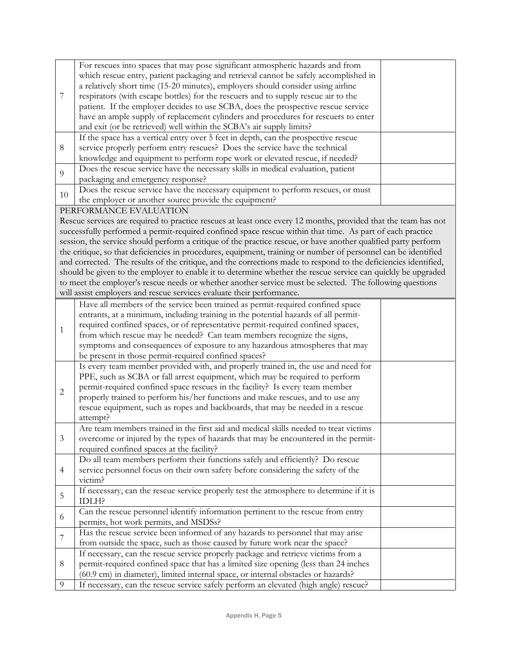|                  | For rescues into spaces that may pose significant atmospheric hazards and from                                  |  |
|------------------|-----------------------------------------------------------------------------------------------------------------|--|
| $\boldsymbol{7}$ | which rescue entry, patient packaging and retrieval cannot be safely accomplished in                            |  |
|                  | a relatively short time (15-20 minutes), employers should consider using airline                                |  |
|                  | respirators (with escape bottles) for the rescuers and to supply rescue air to the                              |  |
|                  | patient. If the employer decides to use SCBA, does the prospective rescue service                               |  |
|                  | have an ample supply of replacement cylinders and procedures for rescuers to enter                              |  |
|                  | and exit (or be retrieved) well within the SCBA's air supply limits?                                            |  |
|                  | If the space has a vertical entry over 5 feet in depth, can the prospective rescue                              |  |
| $8\,$            | service properly perform entry rescues? Does the service have the technical                                     |  |
|                  |                                                                                                                 |  |
|                  | knowledge and equipment to perform rope work or elevated rescue, if needed?                                     |  |
| 9                | Does the rescue service have the necessary skills in medical evaluation, patient                                |  |
|                  | packaging and emergency response?                                                                               |  |
| 10               | Does the rescue service have the necessary equipment to perform rescues, or must                                |  |
|                  | the employer or another source provide the equipment?                                                           |  |
|                  | PERFORMANCE EVALUATION                                                                                          |  |
|                  | Rescue services are required to practice rescues at least once every 12 months, provided that the team has not  |  |
|                  | successfully performed a permit-required confined space rescue within that time. As part of each practice       |  |
|                  | session, the service should perform a critique of the practice rescue, or have another qualified party perform  |  |
|                  | the critique, so that deficiencies in procedures, equipment, training or number of personnel can be identified  |  |
|                  | and corrected. The results of the critique, and the corrections made to respond to the deficiencies identified, |  |
|                  | should be given to the employer to enable it to determine whether the rescue service can quickly be upgraded    |  |
|                  | to meet the employer's rescue needs or whether another service must be selected. The following questions        |  |
|                  | will assist employers and rescue services evaluate their performance.                                           |  |
|                  | Have all members of the service been trained as permit-required confined space                                  |  |
|                  | entrants, at a minimum, including training in the potential hazards of all permit-                              |  |
|                  | required confined spaces, or of representative permit-required confined spaces,                                 |  |
| 1                | from which rescue may be needed? Can team members recognize the signs,                                          |  |
|                  | symptoms and consequences of exposure to any hazardous atmospheres that may                                     |  |
|                  | be present in those permit-required confined spaces?                                                            |  |
|                  |                                                                                                                 |  |
|                  | Is every team member provided with, and properly trained in, the use and need for                               |  |
|                  | PPE, such as SCBA or fall arrest equipment, which may be required to perform                                    |  |
| $\overline{2}$   | permit-required confined space rescues in the facility? Is every team member                                    |  |
|                  | properly trained to perform his/her functions and make rescues, and to use any                                  |  |
|                  | rescue equipment, such as ropes and backboards, that may be needed in a rescue                                  |  |
|                  | attempt?                                                                                                        |  |
|                  | Are team members trained in the first aid and medical skills needed to treat victims                            |  |
| $\mathfrak{Z}$   | overcome or injured by the types of hazards that may be encountered in the permit-                              |  |
|                  | required confined spaces at the facility?                                                                       |  |
|                  | Do all team members perform their functions safely and efficiently? Do rescue                                   |  |
| 4                | service personnel focus on their own safety before considering the safety of the                                |  |
|                  | victim?                                                                                                         |  |
|                  | If necessary, can the rescue service properly test the atmosphere to determine if it is                         |  |
| 5                | IDLH?                                                                                                           |  |
|                  | Can the rescue personnel identify information pertinent to the rescue from entry                                |  |
| 6                | permits, hot work permits, and MSDSs?                                                                           |  |
|                  | Has the rescue service been informed of any hazards to personnel that may arise                                 |  |
| 7                | from outside the space, such as those caused by future work near the space?                                     |  |
|                  | If necessary, can the rescue service properly package and retrieve victims from a                               |  |
| $\,8\,$          | permit-required confined space that has a limited size opening (less than 24 inches                             |  |
|                  |                                                                                                                 |  |
|                  | (60.9 cm) in diameter), limited internal space, or internal obstacles or hazards?                               |  |
| 9                | If necessary, can the rescue service safely perform an elevated (high angle) rescue?                            |  |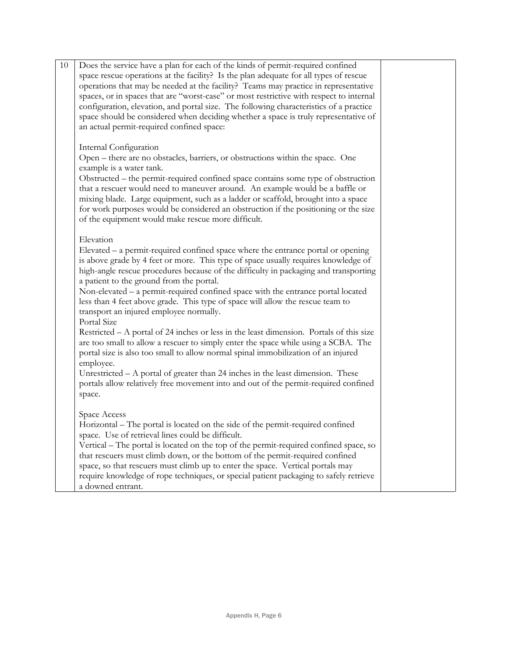| 10 | Does the service have a plan for each of the kinds of permit-required confined<br>space rescue operations at the facility? Is the plan adequate for all types of rescue<br>operations that may be needed at the facility? Teams may practice in representative<br>spaces, or in spaces that are "worst-case" or most restrictive with respect to internal<br>configuration, elevation, and portal size. The following characteristics of a practice<br>space should be considered when deciding whether a space is truly representative of<br>an actual permit-required confined space: |  |
|----|-----------------------------------------------------------------------------------------------------------------------------------------------------------------------------------------------------------------------------------------------------------------------------------------------------------------------------------------------------------------------------------------------------------------------------------------------------------------------------------------------------------------------------------------------------------------------------------------|--|
|    | Internal Configuration<br>Open – there are no obstacles, barriers, or obstructions within the space. One<br>example is a water tank.<br>Obstructed – the permit-required confined space contains some type of obstruction<br>that a rescuer would need to maneuver around. An example would be a baffle or<br>mixing blade. Large equipment, such as a ladder or scaffold, brought into a space<br>for work purposes would be considered an obstruction if the positioning or the size<br>of the equipment would make rescue more difficult.                                            |  |
|    | Elevation<br>Elevated – a permit-required confined space where the entrance portal or opening<br>is above grade by 4 feet or more. This type of space usually requires knowledge of<br>high-angle rescue procedures because of the difficulty in packaging and transporting<br>a patient to the ground from the portal.<br>Non-elevated – a permit-required confined space with the entrance portal located<br>less than 4 feet above grade. This type of space will allow the rescue team to<br>transport an injured employee normally.                                                |  |
|    | Portal Size<br>Restricted – A portal of 24 inches or less in the least dimension. Portals of this size<br>are too small to allow a rescuer to simply enter the space while using a SCBA. The<br>portal size is also too small to allow normal spinal immobilization of an injured<br>employee.<br>Unrestricted $- A$ portal of greater than 24 inches in the least dimension. These<br>portals allow relatively free movement into and out of the permit-required confined<br>space.                                                                                                    |  |
|    | Space Access<br>Horizontal - The portal is located on the side of the permit-required confined<br>space. Use of retrieval lines could be difficult.<br>Vertical – The portal is located on the top of the permit-required confined space, so<br>that rescuers must climb down, or the bottom of the permit-required confined<br>space, so that rescuers must climb up to enter the space. Vertical portals may<br>require knowledge of rope techniques, or special patient packaging to safely retrieve<br>a downed entrant.                                                            |  |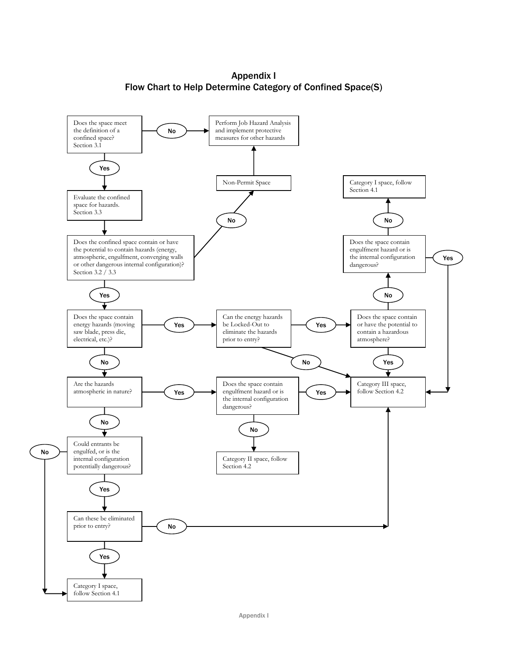Appendix I Flow Chart to Help Determine Category of Confined Space(S)